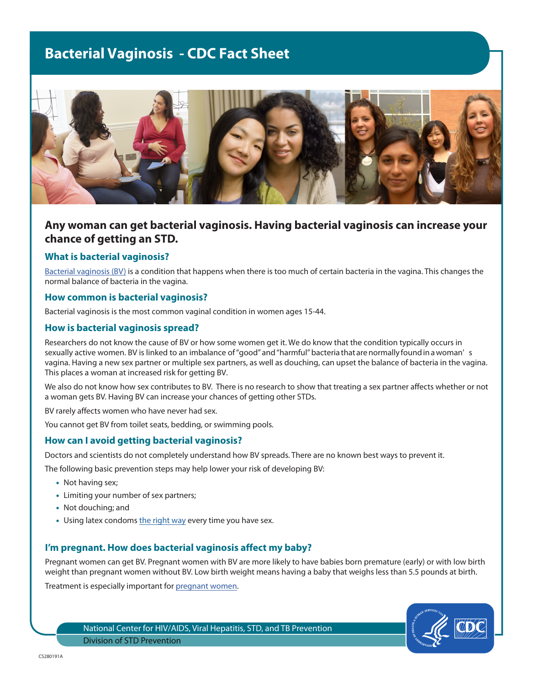# **Bacterial Vaginosis - CDC Fact Sheet**



# **Any woman can get bacterial vaginosis. Having bacterial vaginosis can increase your chance of getting an STD.**

#### **What is bacterial vaginosis?**

[Bacterial vaginosis \(BV\)](https://www.cdc.gov/std/bv/default.htm) is a condition that happens when there is too much of certain bacteria in the vagina. This changes the normal balance of bacteria in the vagina.

#### **How common is bacterial vaginosis?**

Bacterial vaginosis is the most common vaginal condition in women ages 15-44.

#### **How is bacterial vaginosis spread?**

Researchers do not know the cause of BV or how some women get it. We do know that the condition typically occurs in sexually active women. BV is linked to an imbalance of "good" and "harmful" bacteria that are normally found in a woman' s vagina. Having a new sex partner or multiple sex partners, as well as douching, can upset the balance of bacteria in the vagina. This places a woman at increased risk for getting BV.

We also do not know how sex contributes to BV. There is no research to show that treating a sex partner affects whether or not a woman gets BV. Having BV can increase your chances of getting other STDs.

BV rarely affects women who have never had sex.

You cannot get BV from toilet seats, bedding, or swimming pools.

#### **How can I avoid getting bacterial vaginosis?**

Doctors and scientists do not completely understand how BV spreads. There are no known best ways to prevent it.

The following basic prevention steps may help lower your risk of developing BV:

- Not having sex;
- Limiting your number of sex partners;
- Not douching; and
- Using latex condoms [the right way](https://www.cdc.gov/condomeffectiveness/male-condom-use.html) every time you have sex.

#### **I'm pregnant. How does bacterial vaginosis affect my baby?**

Pregnant women can get BV. Pregnant women with BV are more likely to have babies born premature (early) or with low birth weight than pregnant women without BV. Low birth weight means having a baby that weighs less than 5.5 pounds at birth. Treatment is especially important for [pregnant women](https://www.cdc.gov/std/bv/default.htm).